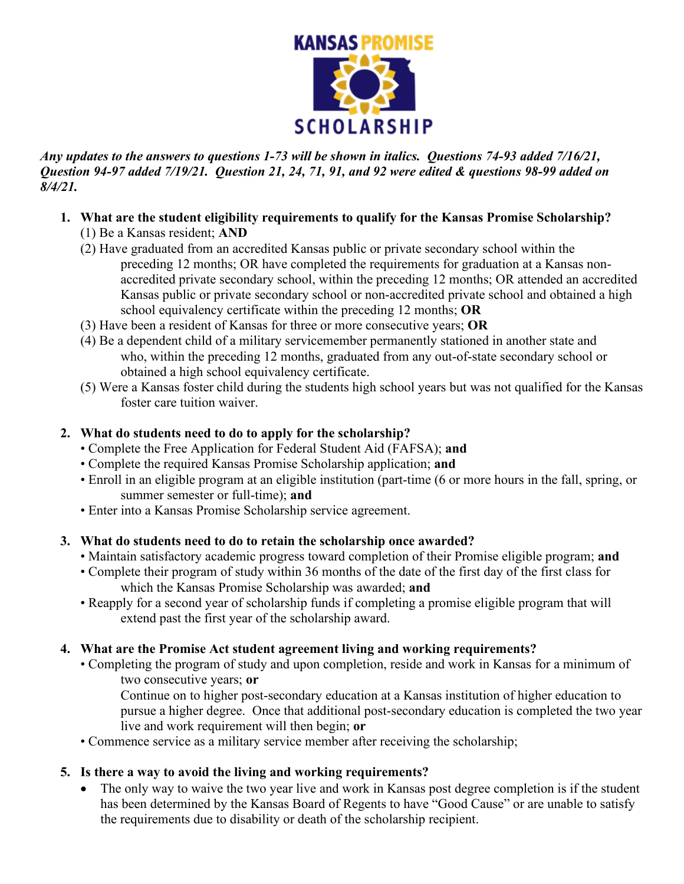

*Any updates to the answers to questions 1-73 will be shown in italics. Questions 74-93 added 7/16/21, Question 94-97 added 7/19/21. Question 21, 24, 71, 91, and 92 were edited & questions 98-99 added on 8/4/21.* 

- **1. What are the student eligibility requirements to qualify for the Kansas Promise Scholarship?**  (1) Be a Kansas resident; **AND**
	- (2) Have graduated from an accredited Kansas public or private secondary school within the preceding 12 months; OR have completed the requirements for graduation at a Kansas nonaccredited private secondary school, within the preceding 12 months; OR attended an accredited Kansas public or private secondary school or non-accredited private school and obtained a high school equivalency certificate within the preceding 12 months; **OR**
	- (3) Have been a resident of Kansas for three or more consecutive years; **OR**
	- (4) Be a dependent child of a military servicemember permanently stationed in another state and who, within the preceding 12 months, graduated from any out-of-state secondary school or obtained a high school equivalency certificate.
	- (5) Were a Kansas foster child during the students high school years but was not qualified for the Kansas foster care tuition waiver.

## **2. What do students need to do to apply for the scholarship?**

- Complete the Free Application for Federal Student Aid (FAFSA); **and**
- Complete the required Kansas Promise Scholarship application; **and**
- Enroll in an eligible program at an eligible institution (part-time (6 or more hours in the fall, spring, or summer semester or full-time); **and**
- Enter into a Kansas Promise Scholarship service agreement.

### **3. What do students need to do to retain the scholarship once awarded?**

- Maintain satisfactory academic progress toward completion of their Promise eligible program; **and**
- Complete their program of study within 36 months of the date of the first day of the first class for which the Kansas Promise Scholarship was awarded; **and**
- Reapply for a second year of scholarship funds if completing a promise eligible program that will extend past the first year of the scholarship award.

# **4. What are the Promise Act student agreement living and working requirements?**

- Completing the program of study and upon completion, reside and work in Kansas for a minimum of two consecutive years; **or**
	- Continue on to higher post-secondary education at a Kansas institution of higher education to pursue a higher degree. Once that additional post-secondary education is completed the two year live and work requirement will then begin; **or**
- Commence service as a military service member after receiving the scholarship;

# **5. Is there a way to avoid the living and working requirements?**

The only way to waive the two year live and work in Kansas post degree completion is if the student has been determined by the Kansas Board of Regents to have "Good Cause" or are unable to satisfy the requirements due to disability or death of the scholarship recipient.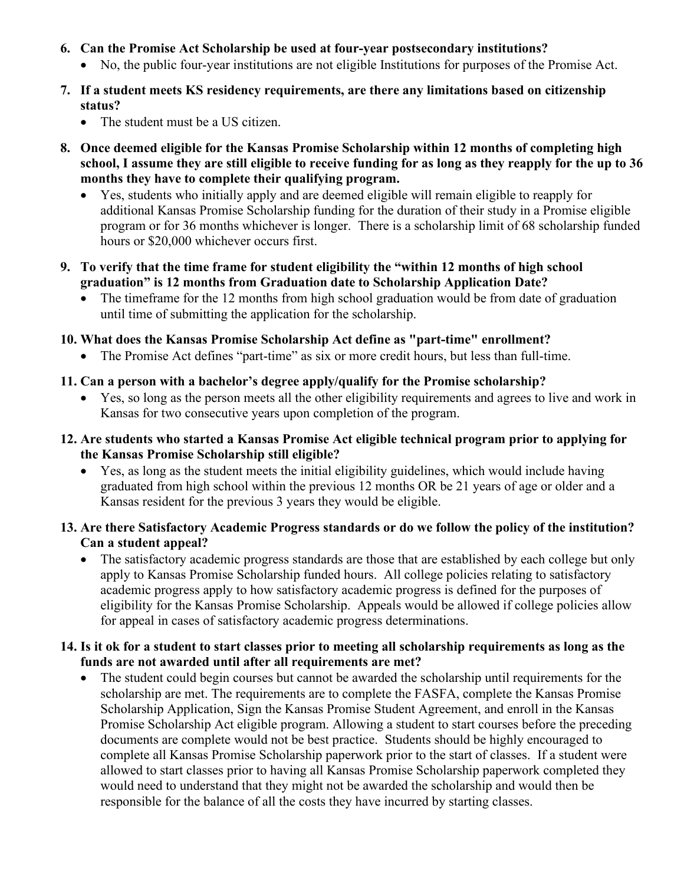- **6. Can the Promise Act Scholarship be used at four-year postsecondary institutions?**
	- No, the public four-year institutions are not eligible Institutions for purposes of the Promise Act.
- **7. If a student meets KS residency requirements, are there any limitations based on citizenship status?** 
	- The student must be a US citizen.
- **8. Once deemed eligible for the Kansas Promise Scholarship within 12 months of completing high school, I assume they are still eligible to receive funding for as long as they reapply for the up to 36 months they have to complete their qualifying program.** 
	- Yes, students who initially apply and are deemed eligible will remain eligible to reapply for additional Kansas Promise Scholarship funding for the duration of their study in a Promise eligible program or for 36 months whichever is longer. There is a scholarship limit of 68 scholarship funded hours or \$20,000 whichever occurs first.
- **9. To verify that the time frame for student eligibility the "within 12 months of high school graduation" is 12 months from Graduation date to Scholarship Application Date?** 
	- The timeframe for the 12 months from high school graduation would be from date of graduation until time of submitting the application for the scholarship.
- **10. What does the Kansas Promise Scholarship Act define as "part-time" enrollment?** 
	- The Promise Act defines "part-time" as six or more credit hours, but less than full-time.
- **11. Can a person with a bachelor's degree apply/qualify for the Promise scholarship?**
	- Yes, so long as the person meets all the other eligibility requirements and agrees to live and work in Kansas for two consecutive years upon completion of the program.
- **12. Are students who started a Kansas Promise Act eligible technical program prior to applying for the Kansas Promise Scholarship still eligible?** 
	- Yes, as long as the student meets the initial eligibility guidelines, which would include having graduated from high school within the previous 12 months OR be 21 years of age or older and a Kansas resident for the previous 3 years they would be eligible.
- **13. Are there Satisfactory Academic Progress standards or do we follow the policy of the institution? Can a student appeal?** 
	- The satisfactory academic progress standards are those that are established by each college but only apply to Kansas Promise Scholarship funded hours. All college policies relating to satisfactory academic progress apply to how satisfactory academic progress is defined for the purposes of eligibility for the Kansas Promise Scholarship. Appeals would be allowed if college policies allow for appeal in cases of satisfactory academic progress determinations.

### **14. Is it ok for a student to start classes prior to meeting all scholarship requirements as long as the funds are not awarded until after all requirements are met?**

• The student could begin courses but cannot be awarded the scholarship until requirements for the scholarship are met. The requirements are to complete the FASFA, complete the Kansas Promise Scholarship Application, Sign the Kansas Promise Student Agreement, and enroll in the Kansas Promise Scholarship Act eligible program. Allowing a student to start courses before the preceding documents are complete would not be best practice. Students should be highly encouraged to complete all Kansas Promise Scholarship paperwork prior to the start of classes. If a student were allowed to start classes prior to having all Kansas Promise Scholarship paperwork completed they would need to understand that they might not be awarded the scholarship and would then be responsible for the balance of all the costs they have incurred by starting classes.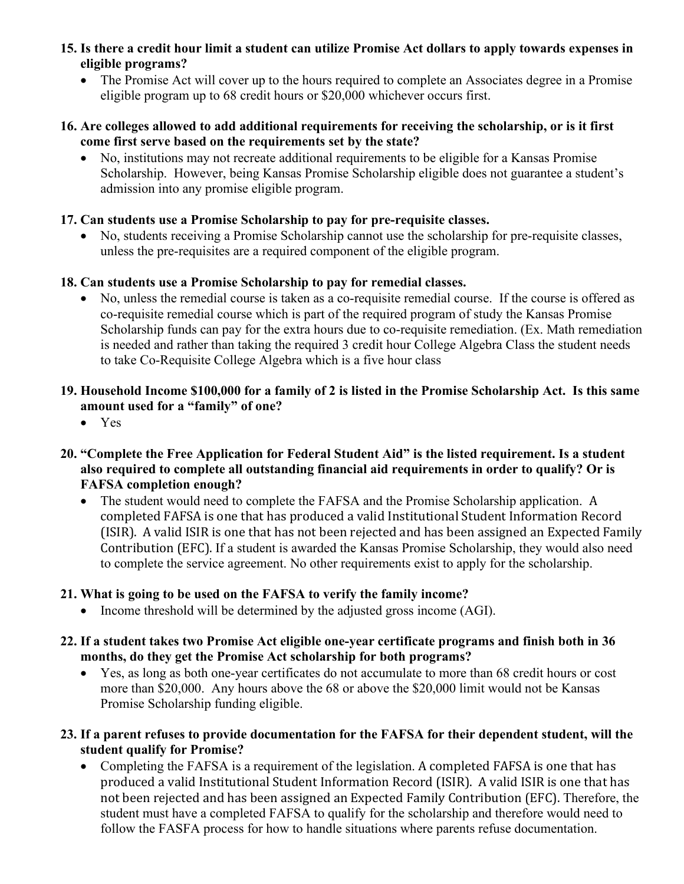- **15. Is there a credit hour limit a student can utilize Promise Act dollars to apply towards expenses in eligible programs?** 
	- The Promise Act will cover up to the hours required to complete an Associates degree in a Promise eligible program up to 68 credit hours or \$20,000 whichever occurs first.
- **16. Are colleges allowed to add additional requirements for receiving the scholarship, or is it first come first serve based on the requirements set by the state?**
	- No, institutions may not recreate additional requirements to be eligible for a Kansas Promise Scholarship. However, being Kansas Promise Scholarship eligible does not guarantee a student's admission into any promise eligible program.

## **17. Can students use a Promise Scholarship to pay for pre-requisite classes.**

• No, students receiving a Promise Scholarship cannot use the scholarship for pre-requisite classes, unless the pre-requisites are a required component of the eligible program.

## **18. Can students use a Promise Scholarship to pay for remedial classes.**

• No, unless the remedial course is taken as a co-requisite remedial course. If the course is offered as co-requisite remedial course which is part of the required program of study the Kansas Promise Scholarship funds can pay for the extra hours due to co-requisite remediation. (Ex. Math remediation is needed and rather than taking the required 3 credit hour College Algebra Class the student needs to take Co-Requisite College Algebra which is a five hour class

## **19. Household Income \$100,000 for a family of 2 is listed in the Promise Scholarship Act. Is this same amount used for a "family" of one?**

- Yes
- **20. "Complete the Free Application for Federal Student Aid" is the listed requirement. Is a student also required to complete all outstanding financial aid requirements in order to qualify? Or is FAFSA completion enough?** 
	- The student would need to complete the FAFSA and the Promise Scholarship application. A completed FAFSA is one that has produced a valid Institutional Student Information Record (ISIR). A valid ISIR is one that has not been rejected and has been assigned an Expected Family Contribution (EFC). If a student is awarded the Kansas Promise Scholarship, they would also need to complete the service agreement. No other requirements exist to apply for the scholarship.

# **21. What is going to be used on the FAFSA to verify the family income?**

- Income threshold will be determined by the adjusted gross income (AGI).
- **22. If a student takes two Promise Act eligible one-year certificate programs and finish both in 36 months, do they get the Promise Act scholarship for both programs?** 
	- Yes, as long as both one-year certificates do not accumulate to more than 68 credit hours or cost more than \$20,000. Any hours above the 68 or above the \$20,000 limit would not be Kansas Promise Scholarship funding eligible.
- **23. If a parent refuses to provide documentation for the FAFSA for their dependent student, will the student qualify for Promise?** 
	- Completing the FAFSA is a requirement of the legislation. A completed FAFSA is one that has produced a valid Institutional Student Information Record (ISIR). A valid ISIR is one that has not been rejected and has been assigned an Expected Family Contribution (EFC). Therefore, the student must have a completed FAFSA to qualify for the scholarship and therefore would need to follow the FASFA process for how to handle situations where parents refuse documentation.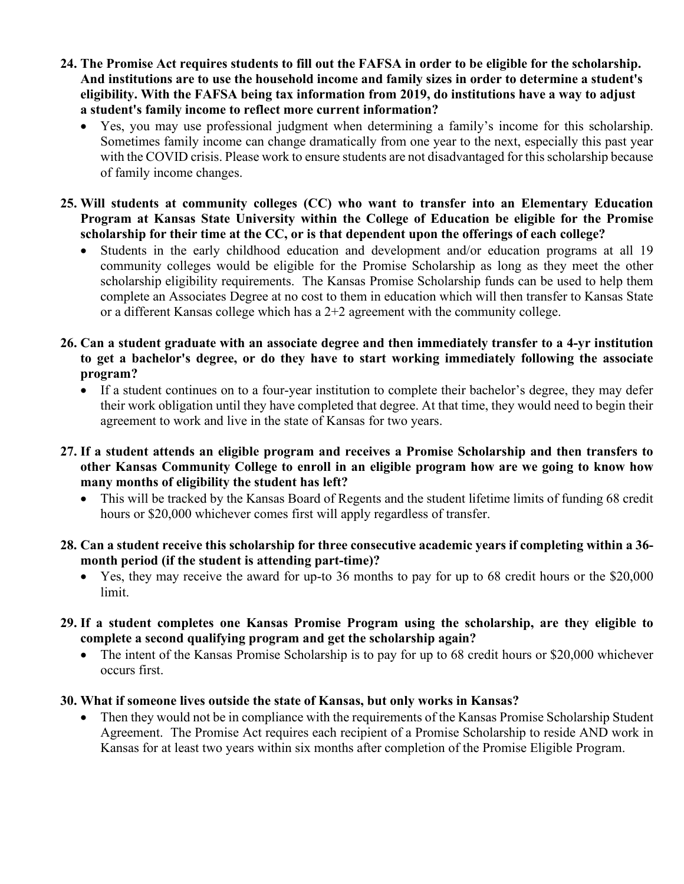- **24. The Promise Act requires students to fill out the FAFSA in order to be eligible for the scholarship. And institutions are to use the household income and family sizes in order to determine a student's eligibility. With the FAFSA being tax information from 2019, do institutions have a way to adjust a student's family income to reflect more current information?** 
	- Yes, you may use professional judgment when determining a family's income for this scholarship. Sometimes family income can change dramatically from one year to the next, especially this past year with the COVID crisis. Please work to ensure students are not disadvantaged for this scholarship because of family income changes.
- **25. Will students at community colleges (CC) who want to transfer into an Elementary Education Program at Kansas State University within the College of Education be eligible for the Promise scholarship for their time at the CC, or is that dependent upon the offerings of each college?**
	- Students in the early childhood education and development and/or education programs at all 19 community colleges would be eligible for the Promise Scholarship as long as they meet the other scholarship eligibility requirements. The Kansas Promise Scholarship funds can be used to help them complete an Associates Degree at no cost to them in education which will then transfer to Kansas State or a different Kansas college which has a 2+2 agreement with the community college.
- **26. Can a student graduate with an associate degree and then immediately transfer to a 4-yr institution to get a bachelor's degree, or do they have to start working immediately following the associate program?** 
	- If a student continues on to a four-year institution to complete their bachelor's degree, they may defer their work obligation until they have completed that degree. At that time, they would need to begin their agreement to work and live in the state of Kansas for two years.
- **27. If a student attends an eligible program and receives a Promise Scholarship and then transfers to other Kansas Community College to enroll in an eligible program how are we going to know how many months of eligibility the student has left?** 
	- This will be tracked by the Kansas Board of Regents and the student lifetime limits of funding 68 credit hours or \$20,000 whichever comes first will apply regardless of transfer.
- **28. Can a student receive this scholarship for three consecutive academic years if completing within a 36 month period (if the student is attending part-time)?**
	- Yes, they may receive the award for up-to 36 months to pay for up to 68 credit hours or the \$20,000 limit.
- **29. If a student completes one Kansas Promise Program using the scholarship, are they eligible to complete a second qualifying program and get the scholarship again?** 
	- The intent of the Kansas Promise Scholarship is to pay for up to 68 credit hours or \$20,000 whichever occurs first.

### **30. What if someone lives outside the state of Kansas, but only works in Kansas?**

Then they would not be in compliance with the requirements of the Kansas Promise Scholarship Student Agreement. The Promise Act requires each recipient of a Promise Scholarship to reside AND work in Kansas for at least two years within six months after completion of the Promise Eligible Program.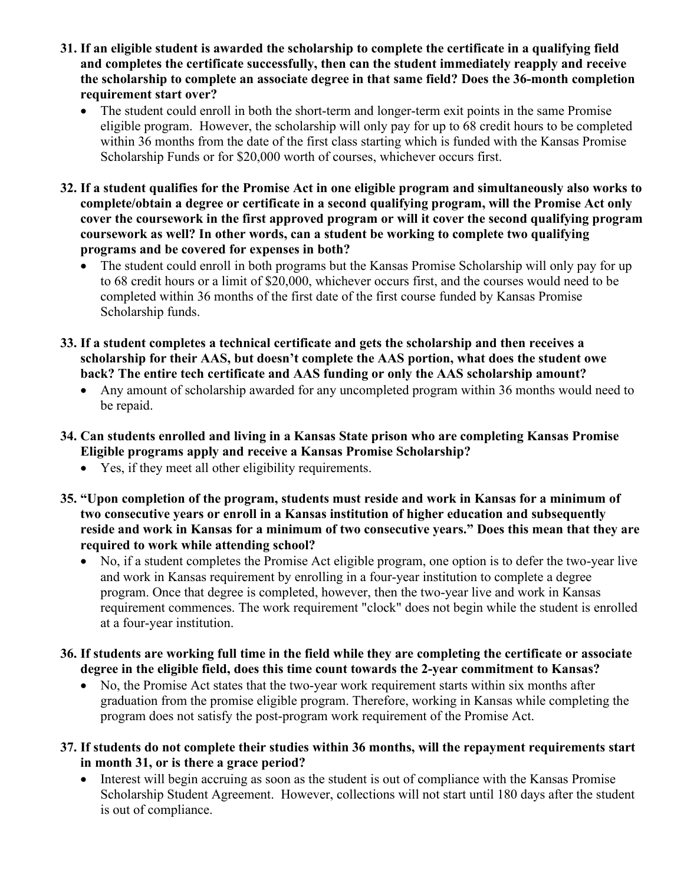- **31. If an eligible student is awarded the scholarship to complete the certificate in a qualifying field and completes the certificate successfully, then can the student immediately reapply and receive the scholarship to complete an associate degree in that same field? Does the 36-month completion requirement start over?** 
	- The student could enroll in both the short-term and longer-term exit points in the same Promise eligible program. However, the scholarship will only pay for up to 68 credit hours to be completed within 36 months from the date of the first class starting which is funded with the Kansas Promise Scholarship Funds or for \$20,000 worth of courses, whichever occurs first.
- **32. If a student qualifies for the Promise Act in one eligible program and simultaneously also works to complete/obtain a degree or certificate in a second qualifying program, will the Promise Act only cover the coursework in the first approved program or will it cover the second qualifying program coursework as well? In other words, can a student be working to complete two qualifying programs and be covered for expenses in both?**
	- The student could enroll in both programs but the Kansas Promise Scholarship will only pay for up to 68 credit hours or a limit of \$20,000, whichever occurs first, and the courses would need to be completed within 36 months of the first date of the first course funded by Kansas Promise Scholarship funds.
- **33. If a student completes a technical certificate and gets the scholarship and then receives a scholarship for their AAS, but doesn't complete the AAS portion, what does the student owe back? The entire tech certificate and AAS funding or only the AAS scholarship amount?**
	- Any amount of scholarship awarded for any uncompleted program within 36 months would need to be repaid.
- **34. Can students enrolled and living in a Kansas State prison who are completing Kansas Promise Eligible programs apply and receive a Kansas Promise Scholarship?** 
	- Yes, if they meet all other eligibility requirements.
- **35. "Upon completion of the program, students must reside and work in Kansas for a minimum of two consecutive years or enroll in a Kansas institution of higher education and subsequently reside and work in Kansas for a minimum of two consecutive years." Does this mean that they are required to work while attending school?**
	- No, if a student completes the Promise Act eligible program, one option is to defer the two-year live and work in Kansas requirement by enrolling in a four-year institution to complete a degree program. Once that degree is completed, however, then the two-year live and work in Kansas requirement commences. The work requirement "clock" does not begin while the student is enrolled at a four-year institution.
- **36. If students are working full time in the field while they are completing the certificate or associate degree in the eligible field, does this time count towards the 2-year commitment to Kansas?** 
	- No, the Promise Act states that the two-year work requirement starts within six months after graduation from the promise eligible program. Therefore, working in Kansas while completing the program does not satisfy the post-program work requirement of the Promise Act.
- **37. If students do not complete their studies within 36 months, will the repayment requirements start in month 31, or is there a grace period?**
	- Interest will begin accruing as soon as the student is out of compliance with the Kansas Promise Scholarship Student Agreement. However, collections will not start until 180 days after the student is out of compliance.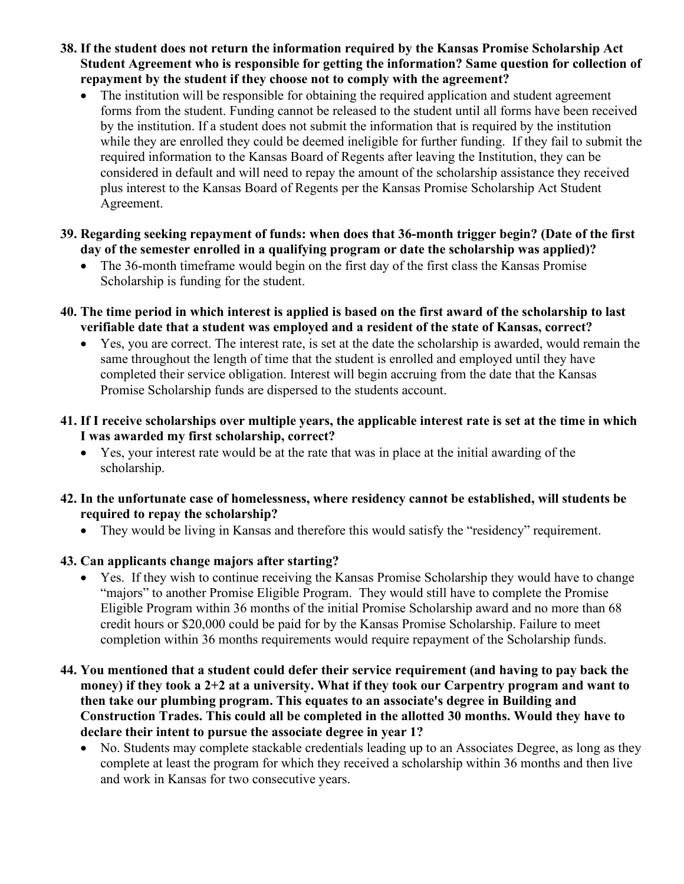- **38. If the student does not return the information required by the Kansas Promise Scholarship Act Student Agreement who is responsible for getting the information? Same question for collection of repayment by the student if they choose not to comply with the agreement?** 
	- The institution will be responsible for obtaining the required application and student agreement forms from the student. Funding cannot be released to the student until all forms have been received by the institution. If a student does not submit the information that is required by the institution while they are enrolled they could be deemed ineligible for further funding. If they fail to submit the required information to the Kansas Board of Regents after leaving the Institution, they can be considered in default and will need to repay the amount of the scholarship assistance they received plus interest to the Kansas Board of Regents per the Kansas Promise Scholarship Act Student Agreement.
- **39. Regarding seeking repayment of funds: when does that 36-month trigger begin? (Date of the first day of the semester enrolled in a qualifying program or date the scholarship was applied)?** 
	- The 36-month timeframe would begin on the first day of the first class the Kansas Promise Scholarship is funding for the student.
- **40. The time period in which interest is applied is based on the first award of the scholarship to last verifiable date that a student was employed and a resident of the state of Kansas, correct?** 
	- Yes, you are correct. The interest rate, is set at the date the scholarship is awarded, would remain the same throughout the length of time that the student is enrolled and employed until they have completed their service obligation. Interest will begin accruing from the date that the Kansas Promise Scholarship funds are dispersed to the students account.
- **41. If I receive scholarships over multiple years, the applicable interest rate is set at the time in which I was awarded my first scholarship, correct?** 
	- Yes, your interest rate would be at the rate that was in place at the initial awarding of the scholarship.
- **42. In the unfortunate case of homelessness, where residency cannot be established, will students be required to repay the scholarship?** 
	- They would be living in Kansas and therefore this would satisfy the "residency" requirement.
- **43. Can applicants change majors after starting?** 
	- Yes. If they wish to continue receiving the Kansas Promise Scholarship they would have to change "majors" to another Promise Eligible Program. They would still have to complete the Promise Eligible Program within 36 months of the initial Promise Scholarship award and no more than 68 credit hours or \$20,000 could be paid for by the Kansas Promise Scholarship. Failure to meet completion within 36 months requirements would require repayment of the Scholarship funds.
- **44. You mentioned that a student could defer their service requirement (and having to pay back the money) if they took a 2+2 at a university. What if they took our Carpentry program and want to then take our plumbing program. This equates to an associate's degree in Building and Construction Trades. This could all be completed in the allotted 30 months. Would they have to declare their intent to pursue the associate degree in year 1?** 
	- No. Students may complete stackable credentials leading up to an Associates Degree, as long as they complete at least the program for which they received a scholarship within 36 months and then live and work in Kansas for two consecutive years.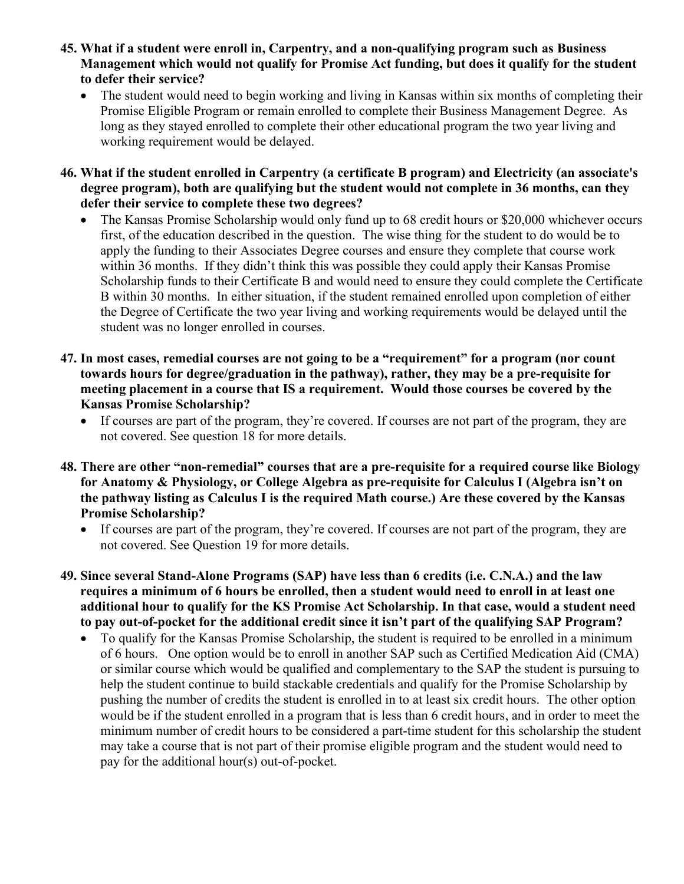- **45. What if a student were enroll in, Carpentry, and a non-qualifying program such as Business Management which would not qualify for Promise Act funding, but does it qualify for the student to defer their service?** 
	- The student would need to begin working and living in Kansas within six months of completing their Promise Eligible Program or remain enrolled to complete their Business Management Degree. As long as they stayed enrolled to complete their other educational program the two year living and working requirement would be delayed.
- **46. What if the student enrolled in Carpentry (a certificate B program) and Electricity (an associate's degree program), both are qualifying but the student would not complete in 36 months, can they defer their service to complete these two degrees?** 
	- The Kansas Promise Scholarship would only fund up to 68 credit hours or \$20,000 whichever occurs first, of the education described in the question. The wise thing for the student to do would be to apply the funding to their Associates Degree courses and ensure they complete that course work within 36 months. If they didn't think this was possible they could apply their Kansas Promise Scholarship funds to their Certificate B and would need to ensure they could complete the Certificate B within 30 months. In either situation, if the student remained enrolled upon completion of either the Degree of Certificate the two year living and working requirements would be delayed until the student was no longer enrolled in courses.
- **47. In most cases, remedial courses are not going to be a "requirement" for a program (nor count towards hours for degree/graduation in the pathway), rather, they may be a pre-requisite for meeting placement in a course that IS a requirement. Would those courses be covered by the Kansas Promise Scholarship?** 
	- If courses are part of the program, they're covered. If courses are not part of the program, they are not covered. See question 18 for more details.
- **48. There are other "non-remedial" courses that are a pre-requisite for a required course like Biology for Anatomy & Physiology, or College Algebra as pre-requisite for Calculus I (Algebra isn't on the pathway listing as Calculus I is the required Math course.) Are these covered by the Kansas Promise Scholarship?**
	- If courses are part of the program, they're covered. If courses are not part of the program, they are not covered. See Question 19 for more details.
- **49. Since several Stand-Alone Programs (SAP) have less than 6 credits (i.e. C.N.A.) and the law requires a minimum of 6 hours be enrolled, then a student would need to enroll in at least one additional hour to qualify for the KS Promise Act Scholarship. In that case, would a student need to pay out-of-pocket for the additional credit since it isn't part of the qualifying SAP Program?** 
	- To qualify for the Kansas Promise Scholarship, the student is required to be enrolled in a minimum of 6 hours. One option would be to enroll in another SAP such as Certified Medication Aid (CMA) or similar course which would be qualified and complementary to the SAP the student is pursuing to help the student continue to build stackable credentials and qualify for the Promise Scholarship by pushing the number of credits the student is enrolled in to at least six credit hours. The other option would be if the student enrolled in a program that is less than 6 credit hours, and in order to meet the minimum number of credit hours to be considered a part-time student for this scholarship the student may take a course that is not part of their promise eligible program and the student would need to pay for the additional hour(s) out-of-pocket.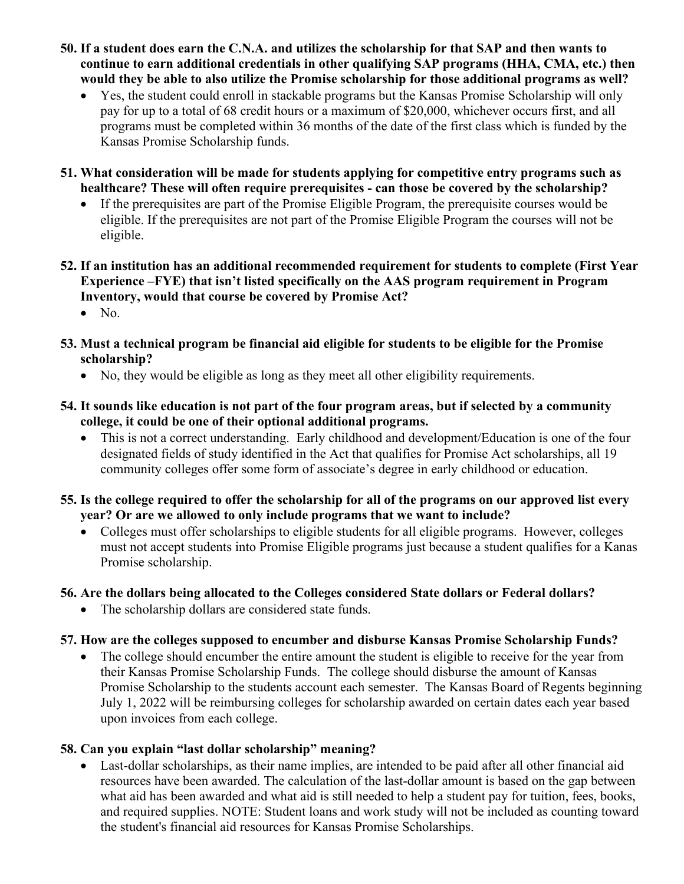- **50. If a student does earn the C.N.A. and utilizes the scholarship for that SAP and then wants to continue to earn additional credentials in other qualifying SAP programs (HHA, CMA, etc.) then would they be able to also utilize the Promise scholarship for those additional programs as well?** 
	- Yes, the student could enroll in stackable programs but the Kansas Promise Scholarship will only pay for up to a total of 68 credit hours or a maximum of \$20,000, whichever occurs first, and all programs must be completed within 36 months of the date of the first class which is funded by the Kansas Promise Scholarship funds.
- **51. What consideration will be made for students applying for competitive entry programs such as healthcare? These will often require prerequisites - can those be covered by the scholarship?** 
	- If the prerequisites are part of the Promise Eligible Program, the prerequisite courses would be eligible. If the prerequisites are not part of the Promise Eligible Program the courses will not be eligible.
- **52. If an institution has an additional recommended requirement for students to complete (First Year Experience –FYE) that isn't listed specifically on the AAS program requirement in Program Inventory, would that course be covered by Promise Act?**
	- No.
- **53. Must a technical program be financial aid eligible for students to be eligible for the Promise scholarship?** 
	- No, they would be eligible as long as they meet all other eligibility requirements.
- **54. It sounds like education is not part of the four program areas, but if selected by a community college, it could be one of their optional additional programs.** 
	- This is not a correct understanding. Early childhood and development/Education is one of the four designated fields of study identified in the Act that qualifies for Promise Act scholarships, all 19 community colleges offer some form of associate's degree in early childhood or education.
- **55. Is the college required to offer the scholarship for all of the programs on our approved list every year? Or are we allowed to only include programs that we want to include?** 
	- Colleges must offer scholarships to eligible students for all eligible programs. However, colleges must not accept students into Promise Eligible programs just because a student qualifies for a Kanas Promise scholarship.

# **56. Are the dollars being allocated to the Colleges considered State dollars or Federal dollars?**

• The scholarship dollars are considered state funds.

# **57. How are the colleges supposed to encumber and disburse Kansas Promise Scholarship Funds?**

The college should encumber the entire amount the student is eligible to receive for the year from their Kansas Promise Scholarship Funds. The college should disburse the amount of Kansas Promise Scholarship to the students account each semester. The Kansas Board of Regents beginning July 1, 2022 will be reimbursing colleges for scholarship awarded on certain dates each year based upon invoices from each college.

# **58. Can you explain "last dollar scholarship" meaning?**

• Last-dollar scholarships, as their name implies, are intended to be paid after all other financial aid resources have been awarded. The calculation of the last-dollar amount is based on the gap between what aid has been awarded and what aid is still needed to help a student pay for tuition, fees, books, and required supplies. NOTE: Student loans and work study will not be included as counting toward the student's financial aid resources for Kansas Promise Scholarships.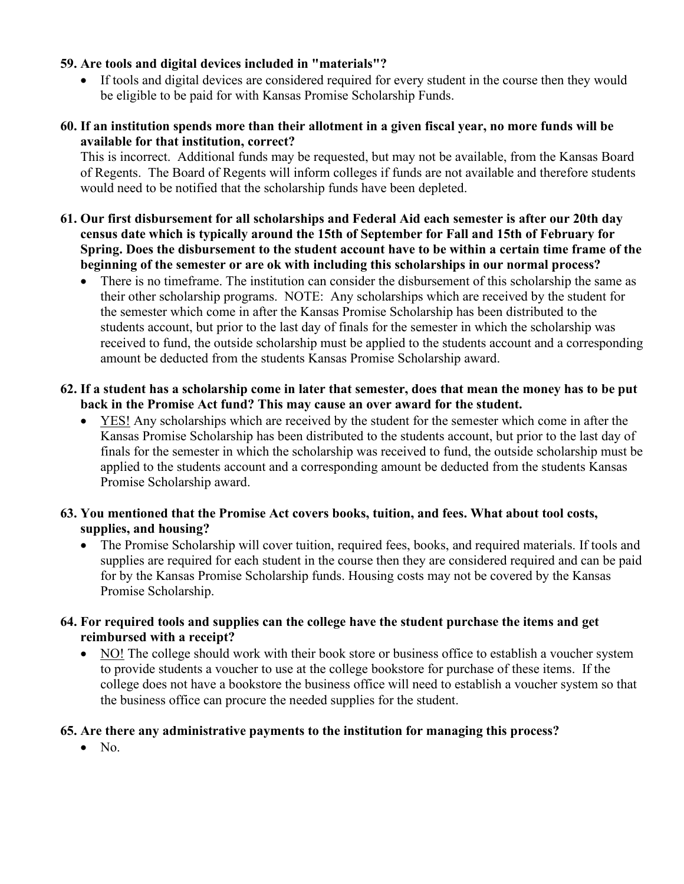### **59. Are tools and digital devices included in "materials"?**

If tools and digital devices are considered required for every student in the course then they would be eligible to be paid for with Kansas Promise Scholarship Funds.

## **60. If an institution spends more than their allotment in a given fiscal year, no more funds will be available for that institution, correct?**

This is incorrect. Additional funds may be requested, but may not be available, from the Kansas Board of Regents. The Board of Regents will inform colleges if funds are not available and therefore students would need to be notified that the scholarship funds have been depleted.

- **61. Our first disbursement for all scholarships and Federal Aid each semester is after our 20th day census date which is typically around the 15th of September for Fall and 15th of February for Spring. Does the disbursement to the student account have to be within a certain time frame of the beginning of the semester or are ok with including this scholarships in our normal process?** 
	- There is no timeframe. The institution can consider the disbursement of this scholarship the same as their other scholarship programs. NOTE: Any scholarships which are received by the student for the semester which come in after the Kansas Promise Scholarship has been distributed to the students account, but prior to the last day of finals for the semester in which the scholarship was received to fund, the outside scholarship must be applied to the students account and a corresponding amount be deducted from the students Kansas Promise Scholarship award.

### **62. If a student has a scholarship come in later that semester, does that mean the money has to be put back in the Promise Act fund? This may cause an over award for the student.**

• YES! Any scholarships which are received by the student for the semester which come in after the Kansas Promise Scholarship has been distributed to the students account, but prior to the last day of finals for the semester in which the scholarship was received to fund, the outside scholarship must be applied to the students account and a corresponding amount be deducted from the students Kansas Promise Scholarship award.

## **63. You mentioned that the Promise Act covers books, tuition, and fees. What about tool costs, supplies, and housing?**

• The Promise Scholarship will cover tuition, required fees, books, and required materials. If tools and supplies are required for each student in the course then they are considered required and can be paid for by the Kansas Promise Scholarship funds. Housing costs may not be covered by the Kansas Promise Scholarship.

## **64. For required tools and supplies can the college have the student purchase the items and get reimbursed with a receipt?**

• NO! The college should work with their book store or business office to establish a voucher system to provide students a voucher to use at the college bookstore for purchase of these items. If the college does not have a bookstore the business office will need to establish a voucher system so that the business office can procure the needed supplies for the student.

# **65. Are there any administrative payments to the institution for managing this process?**

 $\bullet$  No.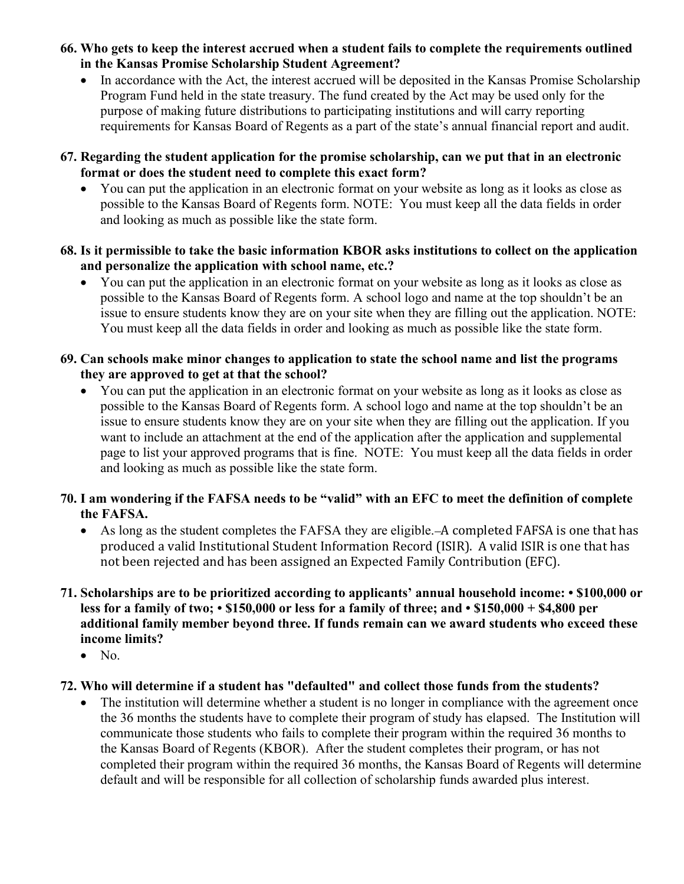- **66. Who gets to keep the interest accrued when a student fails to complete the requirements outlined in the Kansas Promise Scholarship Student Agreement?** 
	- In accordance with the Act, the interest accrued will be deposited in the Kansas Promise Scholarship Program Fund held in the state treasury. The fund created by the Act may be used only for the purpose of making future distributions to participating institutions and will carry reporting requirements for Kansas Board of Regents as a part of the state's annual financial report and audit.
- **67. Regarding the student application for the promise scholarship, can we put that in an electronic format or does the student need to complete this exact form?** 
	- You can put the application in an electronic format on your website as long as it looks as close as possible to the Kansas Board of Regents form. NOTE: You must keep all the data fields in order and looking as much as possible like the state form.
- **68. Is it permissible to take the basic information KBOR asks institutions to collect on the application and personalize the application with school name, etc.?** 
	- You can put the application in an electronic format on your website as long as it looks as close as possible to the Kansas Board of Regents form. A school logo and name at the top shouldn't be an issue to ensure students know they are on your site when they are filling out the application. NOTE: You must keep all the data fields in order and looking as much as possible like the state form.

### **69. Can schools make minor changes to application to state the school name and list the programs they are approved to get at that the school?**

• You can put the application in an electronic format on your website as long as it looks as close as possible to the Kansas Board of Regents form. A school logo and name at the top shouldn't be an issue to ensure students know they are on your site when they are filling out the application. If you want to include an attachment at the end of the application after the application and supplemental page to list your approved programs that is fine. NOTE: You must keep all the data fields in order and looking as much as possible like the state form.

## **70. I am wondering if the FAFSA needs to be "valid" with an EFC to meet the definition of complete the FAFSA.**

- As long as the student completes the FAFSA they are eligible. A completed FAFSA is one that has produced a valid Institutional Student Information Record (ISIR). A valid ISIR is one that has not been rejected and has been assigned an Expected Family Contribution (EFC).
- **71. Scholarships are to be prioritized according to applicants' annual household income: \$100,000 or less for a family of two; • \$150,000 or less for a family of three; and • \$150,000 + \$4,800 per additional family member beyond three. If funds remain can we award students who exceed these income limits?**
	- No.

# **72. Who will determine if a student has "defaulted" and collect those funds from the students?**

• The institution will determine whether a student is no longer in compliance with the agreement once the 36 months the students have to complete their program of study has elapsed. The Institution will communicate those students who fails to complete their program within the required 36 months to the Kansas Board of Regents (KBOR). After the student completes their program, or has not completed their program within the required 36 months, the Kansas Board of Regents will determine default and will be responsible for all collection of scholarship funds awarded plus interest.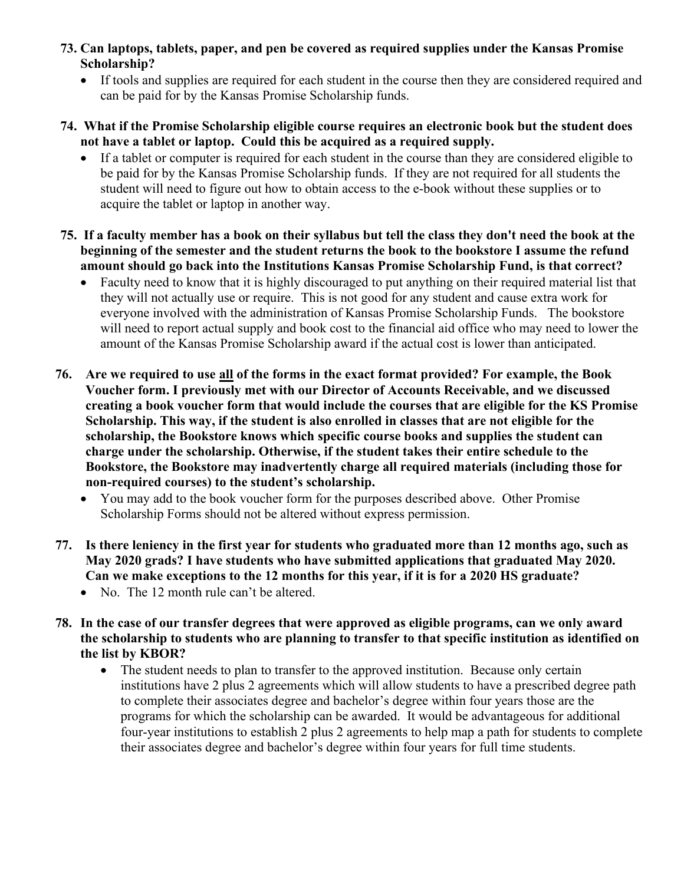- **73. Can laptops, tablets, paper, and pen be covered as required supplies under the Kansas Promise Scholarship?**
	- If tools and supplies are required for each student in the course then they are considered required and can be paid for by the Kansas Promise Scholarship funds.
- **74. What if the Promise Scholarship eligible course requires an electronic book but the student does not have a tablet or laptop. Could this be acquired as a required supply.** 
	- If a tablet or computer is required for each student in the course than they are considered eligible to be paid for by the Kansas Promise Scholarship funds. If they are not required for all students the student will need to figure out how to obtain access to the e-book without these supplies or to acquire the tablet or laptop in another way.
- **75. If a faculty member has a book on their syllabus but tell the class they don't need the book at the beginning of the semester and the student returns the book to the bookstore I assume the refund amount should go back into the Institutions Kansas Promise Scholarship Fund, is that correct?** 
	- Faculty need to know that it is highly discouraged to put anything on their required material list that they will not actually use or require. This is not good for any student and cause extra work for everyone involved with the administration of Kansas Promise Scholarship Funds. The bookstore will need to report actual supply and book cost to the financial aid office who may need to lower the amount of the Kansas Promise Scholarship award if the actual cost is lower than anticipated.
- **76. Are we required to use all of the forms in the exact format provided? For example, the Book Voucher form. I previously met with our Director of Accounts Receivable, and we discussed creating a book voucher form that would include the courses that are eligible for the KS Promise Scholarship. This way, if the student is also enrolled in classes that are not eligible for the scholarship, the Bookstore knows which specific course books and supplies the student can charge under the scholarship. Otherwise, if the student takes their entire schedule to the Bookstore, the Bookstore may inadvertently charge all required materials (including those for non-required courses) to the student's scholarship.**
	- You may add to the book voucher form for the purposes described above. Other Promise Scholarship Forms should not be altered without express permission.
- **77. Is there leniency in the first year for students who graduated more than 12 months ago, such as May 2020 grads? I have students who have submitted applications that graduated May 2020. Can we make exceptions to the 12 months for this year, if it is for a 2020 HS graduate?** 
	- No. The 12 month rule can't be altered.
- **78. In the case of our transfer degrees that were approved as eligible programs, can we only award the scholarship to students who are planning to transfer to that specific institution as identified on the list by KBOR?**
	- The student needs to plan to transfer to the approved institution. Because only certain institutions have 2 plus 2 agreements which will allow students to have a prescribed degree path to complete their associates degree and bachelor's degree within four years those are the programs for which the scholarship can be awarded. It would be advantageous for additional four-year institutions to establish 2 plus 2 agreements to help map a path for students to complete their associates degree and bachelor's degree within four years for full time students.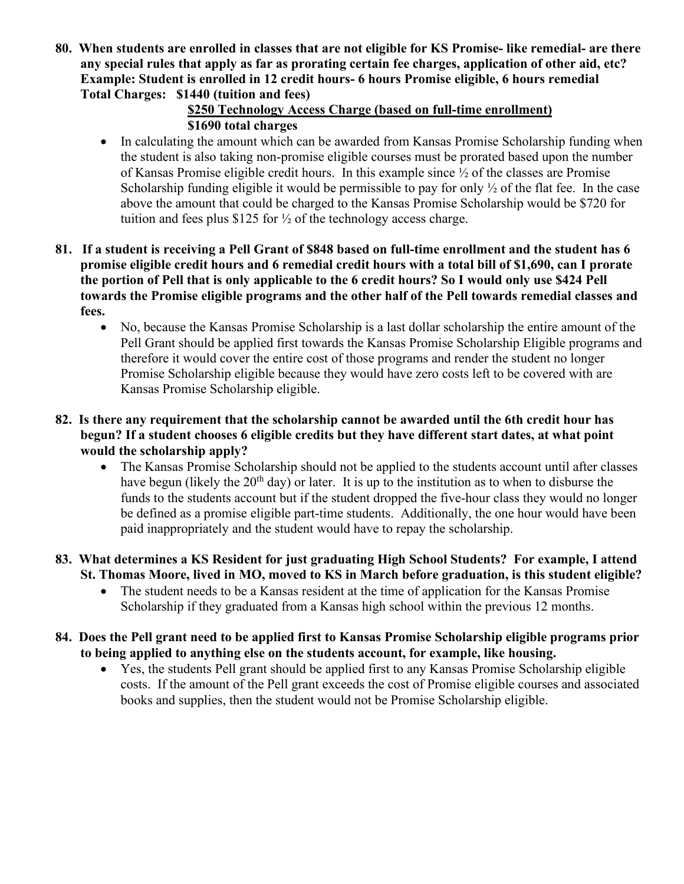**80. When students are enrolled in classes that are not eligible for KS Promise- like remedial- are there any special rules that apply as far as prorating certain fee charges, application of other aid, etc? Example: Student is enrolled in 12 credit hours- 6 hours Promise eligible, 6 hours remedial Total Charges: \$1440 (tuition and fees)** 

## **\$250 Technology Access Charge (based on full-time enrollment) \$1690 total charges**

- In calculating the amount which can be awarded from Kansas Promise Scholarship funding when the student is also taking non-promise eligible courses must be prorated based upon the number of Kansas Promise eligible credit hours. In this example since ½ of the classes are Promise Scholarship funding eligible it would be permissible to pay for only  $\frac{1}{2}$  of the flat fee. In the case above the amount that could be charged to the Kansas Promise Scholarship would be \$720 for tuition and fees plus \$125 for  $\frac{1}{2}$  of the technology access charge.
- **81. If a student is receiving a Pell Grant of \$848 based on full-time enrollment and the student has 6 promise eligible credit hours and 6 remedial credit hours with a total bill of \$1,690, can I prorate the portion of Pell that is only applicable to the 6 credit hours? So I would only use \$424 Pell towards the Promise eligible programs and the other half of the Pell towards remedial classes and fees.** 
	- No, because the Kansas Promise Scholarship is a last dollar scholarship the entire amount of the Pell Grant should be applied first towards the Kansas Promise Scholarship Eligible programs and therefore it would cover the entire cost of those programs and render the student no longer Promise Scholarship eligible because they would have zero costs left to be covered with are Kansas Promise Scholarship eligible.
- **82. Is there any requirement that the scholarship cannot be awarded until the 6th credit hour has begun? If a student chooses 6 eligible credits but they have different start dates, at what point would the scholarship apply?**
	- The Kansas Promise Scholarship should not be applied to the students account until after classes have begun (likely the  $20<sup>th</sup>$  day) or later. It is up to the institution as to when to disburse the funds to the students account but if the student dropped the five-hour class they would no longer be defined as a promise eligible part-time students. Additionally, the one hour would have been paid inappropriately and the student would have to repay the scholarship.
- **83. What determines a KS Resident for just graduating High School Students? For example, I attend St. Thomas Moore, lived in MO, moved to KS in March before graduation, is this student eligible?**
	- The student needs to be a Kansas resident at the time of application for the Kansas Promise Scholarship if they graduated from a Kansas high school within the previous 12 months.
- **84. Does the Pell grant need to be applied first to Kansas Promise Scholarship eligible programs prior to being applied to anything else on the students account, for example, like housing.** 
	- Yes, the students Pell grant should be applied first to any Kansas Promise Scholarship eligible costs. If the amount of the Pell grant exceeds the cost of Promise eligible courses and associated books and supplies, then the student would not be Promise Scholarship eligible.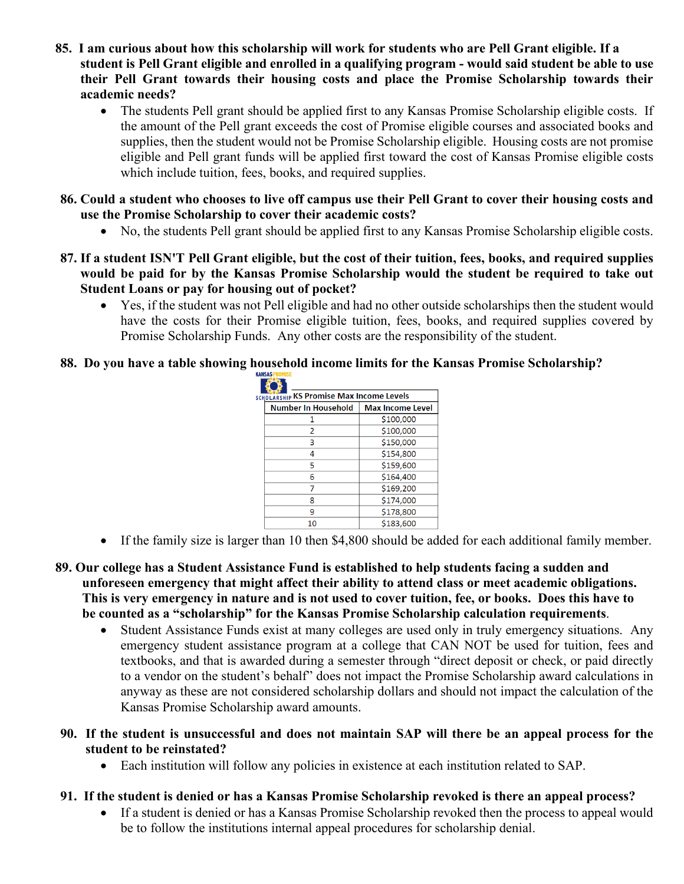- **85. I am curious about how this scholarship will work for students who are Pell Grant eligible. If a student is Pell Grant eligible and enrolled in a qualifying program - would said student be able to use their Pell Grant towards their housing costs and place the Promise Scholarship towards their academic needs?**
	- The students Pell grant should be applied first to any Kansas Promise Scholarship eligible costs. If the amount of the Pell grant exceeds the cost of Promise eligible courses and associated books and supplies, then the student would not be Promise Scholarship eligible. Housing costs are not promise eligible and Pell grant funds will be applied first toward the cost of Kansas Promise eligible costs which include tuition, fees, books, and required supplies.
- **86. Could a student who chooses to live off campus use their Pell Grant to cover their housing costs and use the Promise Scholarship to cover their academic costs?**
	- No, the students Pell grant should be applied first to any Kansas Promise Scholarship eligible costs.
- **87. If a student ISN'T Pell Grant eligible, but the cost of their tuition, fees, books, and required supplies would be paid for by the Kansas Promise Scholarship would the student be required to take out Student Loans or pay for housing out of pocket?** 
	- Yes, if the student was not Pell eligible and had no other outside scholarships then the student would have the costs for their Promise eligible tuition, fees, books, and required supplies covered by Promise Scholarship Funds. Any other costs are the responsibility of the student.
- **88. Do you have a table showing household income limits for the Kansas Promise Scholarship?**

| <b>SCHOLARSHIP KS Promise Max Income Levels</b> |                     |                         |
|-------------------------------------------------|---------------------|-------------------------|
|                                                 | Number In Household | <b>Max Income Level</b> |
|                                                 |                     | \$100,000               |
|                                                 | 2                   | \$100,000               |
|                                                 | 3                   | \$150,000               |
|                                                 | 4                   | \$154,800               |
|                                                 | 5                   | \$159,600               |
|                                                 | 6                   | \$164,400               |
|                                                 |                     | \$169,200               |
|                                                 | 8                   | \$174,000               |
|                                                 | ٩                   | \$178,800               |
|                                                 | 10                  | \$183,600               |

- If the family size is larger than 10 then \$4,800 should be added for each additional family member.
- **89. Our college has a Student Assistance Fund is established to help students facing a sudden and unforeseen emergency that might affect their ability to attend class or meet academic obligations. This is very emergency in nature and is not used to cover tuition, fee, or books. Does this have to be counted as a "scholarship" for the Kansas Promise Scholarship calculation requirements**.
	- Student Assistance Funds exist at many colleges are used only in truly emergency situations. Any emergency student assistance program at a college that CAN NOT be used for tuition, fees and textbooks, and that is awarded during a semester through "direct deposit or check, or paid directly to a vendor on the student's behalf" does not impact the Promise Scholarship award calculations in anyway as these are not considered scholarship dollars and should not impact the calculation of the Kansas Promise Scholarship award amounts.
- **90. If the student is unsuccessful and does not maintain SAP will there be an appeal process for the student to be reinstated?**
	- Each institution will follow any policies in existence at each institution related to SAP.
- **91. If the student is denied or has a Kansas Promise Scholarship revoked is there an appeal process?**
	- If a student is denied or has a Kansas Promise Scholarship revoked then the process to appeal would be to follow the institutions internal appeal procedures for scholarship denial.